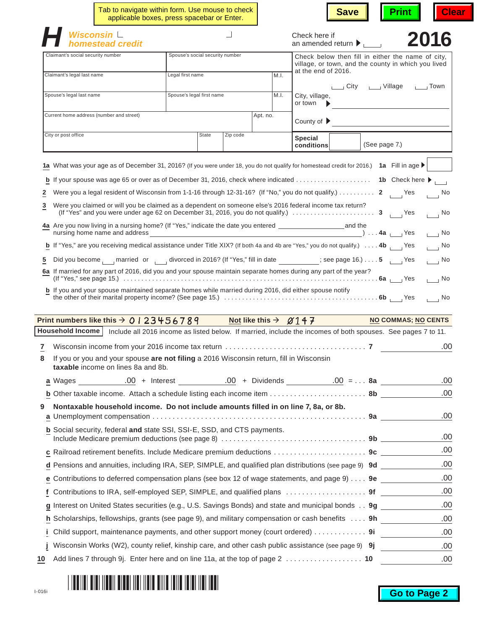|    | Tab to navigate within form. Use mouse to check<br>applicable boxes, press spacebar or Enter.                                                                                                                     |                                                                                                                |          |                                  | <b>Save</b>                                                                                              | <b>Print</b>      | <b>Clear</b>                |
|----|-------------------------------------------------------------------------------------------------------------------------------------------------------------------------------------------------------------------|----------------------------------------------------------------------------------------------------------------|----------|----------------------------------|----------------------------------------------------------------------------------------------------------|-------------------|-----------------------------|
|    | Wisconsin L<br>omestead credit                                                                                                                                                                                    |                                                                                                                |          |                                  | Check here if<br>an amended return $\blacktriangleright$                                                 |                   | 2016                        |
|    | Claimant's social security number                                                                                                                                                                                 | Spouse's social security number                                                                                |          |                                  | Check below then fill in either the name of city,<br>village, or town, and the county in which you lived |                   |                             |
|    | Claimant's legal last name                                                                                                                                                                                        | Legal first name                                                                                               |          | M.I.                             | at the end of 2016.                                                                                      |                   |                             |
|    |                                                                                                                                                                                                                   |                                                                                                                |          |                                  |                                                                                                          | City Village Town |                             |
|    | Spouse's legal last name                                                                                                                                                                                          | Spouse's legal first name                                                                                      |          | M.I.                             | City, village,<br>or town $\qquad \blacktriangleright$                                                   |                   |                             |
|    | Current home address (number and street)                                                                                                                                                                          |                                                                                                                |          | Apt. no.                         | County of $\blacktriangleright$                                                                          |                   |                             |
|    | City or post office                                                                                                                                                                                               | <b>State</b>                                                                                                   | Zip code |                                  | Special<br>conditions                                                                                    | (See page 7.)     |                             |
|    |                                                                                                                                                                                                                   |                                                                                                                |          |                                  |                                                                                                          |                   |                             |
|    | 1a What was your age as of December 31, 2016? (If you were under 18, you do not qualify for homestead credit for 2016.) 1a Fill in age ▶                                                                          |                                                                                                                |          |                                  |                                                                                                          |                   |                             |
|    | <b>b</b> If your spouse was age 65 or over as of December 31, 2016, check where indicated 1b Check here ▶                                                                                                         |                                                                                                                |          |                                  |                                                                                                          |                   |                             |
| 2  | Were you a legal resident of Wisconsin from 1-1-16 through 12-31-16? (If "No," you do not qualify.) 2<br>Were you claimed or will you be claimed as a dependent on someone else's 2016 federal income tax return? |                                                                                                                |          |                                  |                                                                                                          |                   | $\overline{\phantom{a}}$ No |
| 3  |                                                                                                                                                                                                                   |                                                                                                                |          |                                  |                                                                                                          |                   | $\overline{\phantom{a}}$ No |
|    | nursing home name and address                                                                                                                                                                                     |                                                                                                                |          |                                  |                                                                                                          |                   | $\overline{\phantom{0}}$ No |
|    | <b>b</b> If "Yes," are you receiving medical assistance under Title XIX? (If both 4a and 4b are "Yes," you do not qualify.) $\ldots$ 4b                                                                           |                                                                                                                |          |                                  |                                                                                                          |                   | $\overline{\phantom{0}}$ No |
| 5  | Did you become married or divorced in 2016? (If "Yes," fill in date __________; see page 16.) 5 _____ Yes                                                                                                         |                                                                                                                |          |                                  |                                                                                                          |                   | $\overline{\phantom{0}}$ No |
|    | 6a If married for any part of 2016, did you and your spouse maintain separate homes during any part of the year?                                                                                                  |                                                                                                                |          |                                  |                                                                                                          |                   | $\overline{\phantom{0}}$ No |
|    | <b>b</b> If you and your spouse maintained separate homes while married during 2016, did either spouse notify                                                                                                     |                                                                                                                |          |                                  |                                                                                                          |                   | $\overline{\phantom{0}}$ No |
|    | Print numbers like this $\rightarrow$ 0 1 2 3 4 5 6 7 8 9                                                                                                                                                         |                                                                                                                |          | Not like this $\rightarrow$ 2147 |                                                                                                          |                   | <b>NO COMMAS, NO CENTS</b>  |
|    | Household Income   Include all 2016 income as listed below. If married, include the incomes of both spouses. See pages 7 to 11.                                                                                   |                                                                                                                |          |                                  |                                                                                                          |                   |                             |
| 7  |                                                                                                                                                                                                                   |                                                                                                                |          |                                  |                                                                                                          |                   | .00                         |
|    | If you or you and your spouse are not filing a 2016 Wisconsin return, fill in Wisconsin<br>taxable income on lines 8a and 8b.                                                                                     |                                                                                                                |          |                                  |                                                                                                          |                   |                             |
|    |                                                                                                                                                                                                                   |                                                                                                                |          |                                  |                                                                                                          |                   | .00                         |
|    |                                                                                                                                                                                                                   |                                                                                                                |          |                                  |                                                                                                          |                   | .00                         |
| 9  | Nontaxable household income. Do not include amounts filled in on line 7, 8a, or 8b.                                                                                                                               |                                                                                                                |          |                                  |                                                                                                          |                   | .00                         |
|    | <b>b</b> Social security, federal and state SSI, SSI-E, SSD, and CTS payments.                                                                                                                                    |                                                                                                                |          |                                  |                                                                                                          |                   | .00                         |
|    |                                                                                                                                                                                                                   |                                                                                                                |          |                                  |                                                                                                          |                   | .00                         |
|    | d Pensions and annuities, including IRA, SEP, SIMPLE, and qualified plan distributions (see page 9) 9d                                                                                                            |                                                                                                                |          |                                  |                                                                                                          |                   | .00                         |
|    |                                                                                                                                                                                                                   | <b>e</b> Contributions to deferred compensation plans (see box 12 of wage statements, and page $9$ ) $\dots$ 9 |          |                                  |                                                                                                          |                   | .00                         |
|    | f Contributions to IRA, self-employed SEP, SIMPLE, and qualified plans  9f                                                                                                                                        |                                                                                                                |          |                                  |                                                                                                          |                   | .00                         |
|    | g Interest on United States securities (e.g., U.S. Savings Bonds) and state and municipal bonds 9g                                                                                                                |                                                                                                                |          |                                  |                                                                                                          |                   | .00                         |
|    | h Scholarships, fellowships, grants (see page 9), and military compensation or cash benefits  9h                                                                                                                  |                                                                                                                |          |                                  |                                                                                                          |                   | .00                         |
|    | Child support, maintenance payments, and other support money (court ordered) 9i                                                                                                                                   |                                                                                                                |          |                                  |                                                                                                          |                   | .00                         |
|    | Wisconsin Works (W2), county relief, kinship care, and other cash public assistance (see page 9) 9j                                                                                                               |                                                                                                                |          |                                  |                                                                                                          |                   | .00                         |
|    |                                                                                                                                                                                                                   |                                                                                                                |          |                                  |                                                                                                          |                   |                             |
| 10 | Add lines 7 through 9j. Enter here and on line 11a, at the top of page 2  10                                                                                                                                      |                                                                                                                |          |                                  |                                                                                                          |                   | .00                         |

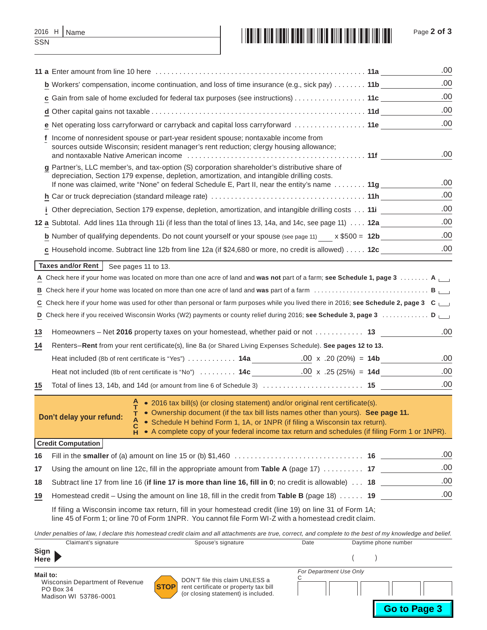|     | 2016 H   Name |
|-----|---------------|
| SSN |               |



|    | 11 a Enter amount from line 10 here entertainment containment container and all the contact of the contact of                                                                                                                                                                                                                                                                                 | .00  |
|----|-----------------------------------------------------------------------------------------------------------------------------------------------------------------------------------------------------------------------------------------------------------------------------------------------------------------------------------------------------------------------------------------------|------|
|    | b Workers' compensation, income continuation, and loss of time insurance (e.g., sick pay)  11b ______                                                                                                                                                                                                                                                                                         | .00  |
|    | c Gain from sale of home excluded for federal tax purposes (see instructions) 11c                                                                                                                                                                                                                                                                                                             | .00  |
|    |                                                                                                                                                                                                                                                                                                                                                                                               | .00  |
|    | e Net operating loss carryforward or carryback and capital loss carryforward  11e                                                                                                                                                                                                                                                                                                             | .00  |
|    | f Income of nonresident spouse or part-year resident spouse; nontaxable income from<br>sources outside Wisconsin; resident manager's rent reduction; clergy housing allowance;<br>and nontaxable Native American income entertainment contains and nontaxable Native American income entertainme                                                                                              | .00  |
|    | g Partner's, LLC member's, and tax-option (S) corporation shareholder's distributive share of<br>depreciation, Section 179 expense, depletion, amortization, and intangible drilling costs.<br>If none was claimed, write "None" on federal Schedule E, Part II, near the entity's name  11g ______                                                                                           | .00  |
|    |                                                                                                                                                                                                                                                                                                                                                                                               | .00  |
|    | i Other depreciation, Section 179 expense, depletion, amortization, and intangible drilling costs 11i                                                                                                                                                                                                                                                                                         | .00  |
|    | 12 a Subtotal. Add lines 11a through 11i (if less than the total of lines 13, 14a, and 14c, see page 11) 12a                                                                                                                                                                                                                                                                                  | .00  |
|    | <b>b</b> Number of qualifying dependents. Do not count yourself or your spouse (see page 11) $\times$ \$500 = 12b                                                                                                                                                                                                                                                                             | .00  |
|    | c Household income. Subtract line 12b from line 12a (if \$24,680 or more, no credit is allowed) $\dots$ . 12c                                                                                                                                                                                                                                                                                 | .00  |
|    | Taxes and/or Rent   See pages 11 to 13.                                                                                                                                                                                                                                                                                                                                                       |      |
|    | A Check here if your home was located on more than one acre of land and was not part of a farm; see Schedule 1, page 3 A $\Box$                                                                                                                                                                                                                                                               |      |
|    |                                                                                                                                                                                                                                                                                                                                                                                               |      |
|    | C Check here if your home was used for other than personal or farm purposes while you lived there in 2016; see Schedule 2, page 3 C                                                                                                                                                                                                                                                           |      |
|    | D Check here if you received Wisconsin Works (W2) payments or county relief during 2016; see Schedule 3, page 3 D                                                                                                                                                                                                                                                                             |      |
| 13 | Homeowners – Net 2016 property taxes on your homestead, whether paid or not 13                                                                                                                                                                                                                                                                                                                | .00  |
| 14 | Renters-Rent from your rent certificate(s), line 8a (or Shared Living Expenses Schedule). See pages 12 to 13.                                                                                                                                                                                                                                                                                 |      |
|    | Heat included (8b of rent certificate is "Yes")  14a 00 x .20 (20%) = 14b                                                                                                                                                                                                                                                                                                                     | .00  |
|    | Heat not included (8b of rent certificate is "No")  14c $\frac{.00}{.25(25%)}$ = 14d                                                                                                                                                                                                                                                                                                          | .00  |
| 15 |                                                                                                                                                                                                                                                                                                                                                                                               | .00  |
|    | • 2016 tax bill(s) (or closing statement) and/or original rent certificate(s).<br>$\tau$ • Ownership document (if the tax bill lists names other than yours). See page 11.<br>Don't delay your refund:<br>A • Schedule H behind Form 1, 1A, or 1NPR (if filing a Wisconsin tax return).<br>• A complete copy of your federal income tax return and schedules (if filing Form 1 or 1NPR).<br>н |      |
|    | <b>Credit Computation</b>                                                                                                                                                                                                                                                                                                                                                                     |      |
| 16 |                                                                                                                                                                                                                                                                                                                                                                                               | .00  |
| 17 | Using the amount on line 12c, fill in the appropriate amount from Table A (page 17) $\ldots \ldots \ldots$ 17                                                                                                                                                                                                                                                                                 | .00  |
| 18 | Subtract line 17 from line 16 (if line 17 is more than line 16, fill in 0; no credit is allowable) $\ldots$ 18                                                                                                                                                                                                                                                                                | .00. |
| 19 | Homestead credit – Using the amount on line 18, fill in the credit from Table B (page 18) $\dots$ . 19                                                                                                                                                                                                                                                                                        | .00  |
|    | If filing a Wisconsin income tax return, fill in your homestead credit (line 19) on line 31 of Form 1A;                                                                                                                                                                                                                                                                                       |      |

line 45 of Form 1; or line 70 of Form 1NPR. You cannot file Form WI-Z with a homestead credit claim.

*Under penalties of law, I declare this homestead credit claim and all attachments are true, correct, and complete to the best of my knowledge and belief.*

| Claimant's signature                                                              | Spouse's signature                                                                                                            | Date                    | Daytime phone number |                     |
|-----------------------------------------------------------------------------------|-------------------------------------------------------------------------------------------------------------------------------|-------------------------|----------------------|---------------------|
| Sign<br>Here                                                                      |                                                                                                                               |                         |                      |                     |
| Mail to:<br>Wisconsin Department of Revenue<br>PO Box 34<br>Madison WI 53786-0001 | DON'T file this claim UNLESS a<br><b>STOP</b><br>rent certificate or property tax bill<br>(or closing statement) is included. | For Department Use Only |                      |                     |
|                                                                                   |                                                                                                                               |                         |                      | <b>Go to Page 3</b> |